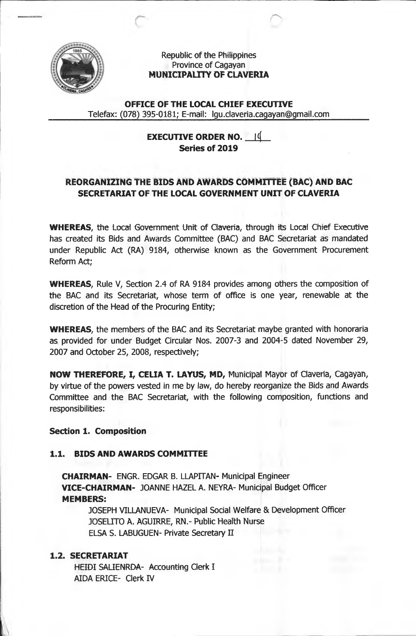

## Republic of the Philippines Province of Cagayan **MUNICIPALITY OF CLAVERIA**

**OFFICE OF THE LOCAL CHIEF EXECUTIVE** Telefax: (078) 395-0181; E-mail: [lgu.claveria.cagayan@gmail.com](mailto:lgu.claveria.cagayan@gmail.com)

> **EXECUTIVE ORDER NO. |<( Series of 2019**

# **REORGANIZING THE BIDS AND AWARDS COMMITTEE (BAC) AND BAC SECRETARIAT OF THE LOCAL GOVERNMENT UNIT OF CLAVERIA**

**WHEREAS,** the Local Government Unit of Ciaveria, through its Local Chief Executive has created its Bids and Awards Committee (BAC) and BAC Secretariat as mandated under Republic Act (RA) 9184, otherwise known as the Government Procurement Reform Act;

**WHEREAS,** Rule V, Section 2.4 of RA 9184 provides among others the composition of the BAC and its Secretariat, whose term of office is one year, renewable at the discretion of the Head of the Procuring Entity;

**WHEREAS,** the members of the BAC and its Secretariat maybe granted with honoraria as provided for under Budget Circular Nos. 2007-3 and 2004-5 dated November 29, 2007 and October 25, 2008, respectively;

**NOW THEREFORE, I, CELIA T. LAYUS, MD,** Municipal Mayor of Ciaveria, Cagayan, by virtue of the powers vested in me by law, do hereby reorganize the Bids and Awards Committee and the BAC Secretariat, with the following composition, functions and responsibilities:

## **Section 1. Composition**

## **1.1. BIDS AND AWARDS COMMITTEE**

**CHAIRMAN-** ENGR. EDGAR B. LLAPITAN- Municipal Engineer **VICE-CHAIRMAN-** JOANNE HAZEL A. NEYRA- Municipal Budget Officer **MEMBERS:**

JOSEPH VILLANUEVA- Municipal Social Welfare & Development Officer JOSELITO A. AGUIRRE, RN.- Public Health Nurse ELSA S. LABUGUEN- Private Secretary II

## **1.2. SECRETARIAT**

HEIDI SALIENRDA- Accounting Clerk I AIDA ERICE- Clerk IV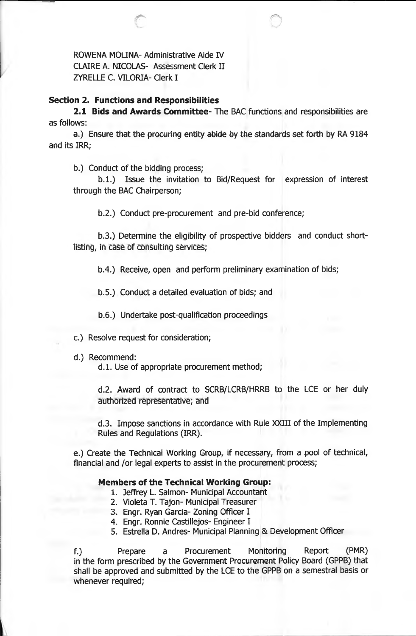ROWENA MOLINA- Administrative Aide IV CLAIRE A. NICOLAS- Assessment Clerk II ZYRELLE C. VILORIA- Clerk I

#### **Section 2. Functions and Responsibilities**

**2.1 Bids and Awards Committee-** The BAC functions and responsibilities are as follows:

a.) Ensure that the procuring entity abide by the standards set forth by RA 9184 and its IRR;

b.) Conduct of the bidding process;

b.1.) Issue the invitation to Bid/Request for expression of interest through the BAC Chairperson;

b.2.) Conduct pre-procurement and pre-bid conference;

b.3.) Determine the eligibility of prospective bidders and conduct shortlisting, in case of consulting services;

b.4.) Receive, open and perform preliminary examination of bids;

b.5.) Conduct a detailed evaluation of bids; and

b.6.) Undertake post-qualification proceedings

c.) Resolve request for consideration;

d.) Recommend:

d.l. Use of appropriate procurement method;

d.2. Award of contract to SCRB/LCRB/HRRB to the LCE or her duly authorized representative; and

d.3. Impose sanctions in accordance with Rule XXIII of the Implementing Rules and Regulations (IRR).

e.) Create the Technical Working Group, if necessary, from a pool of technical, financial and /or legal experts to assist in the procurement process;

#### **Members of the Technical Working Group:**

- 1. Jeffrey L. Salmon- Municipal Accountant
- 2. Violeta T. Tajon- Municipal Treasurer
- 3. Engr. Ryan Garcia- Zoning Officer I
- 4. Engr. Ronnie Castillejos- Engineer I
- 5. Estrella D. Andres- Municipal Planning & Development Officer

f. ) Prepare a Procurement Monitoring Report (PMR) in the form prescribed by the Government Procurement Policy Board (GPPB) that shall be approved and submitted by the LCE to the GPPB on a semestral basis or whenever required;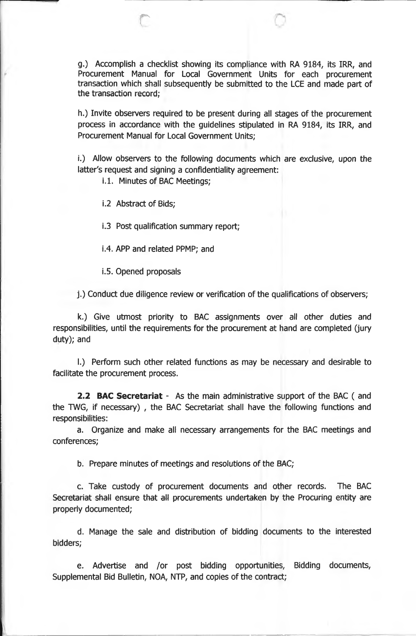g.) Accomplish a checklist showing its compliance with RA 9184, its IRR, and Procurement Manual for Local Government Units for each procurement transaction which shall subsequently be submitted to the LCE and made part of the transaction record;

h.) Invite observers required to be present during all stages of the procurement process in accordance with the guidelines stipulated in RA 9184, its IRR, and Procurement Manual for Local Government Units;

i.) Allow observers to the following documents which are exclusive, upon the latter's request and signing a confidentiality agreement:

i.l. Minutes of BAC Meetings;

i.2 Abstract of Bids;

r

1.3 Post qualification summary report;

1.4. APP and related PPMP; and

1.5. Opened proposals

j. ) Conduct due diligence review or verification of the qualifications of observers;

k.) Give utmost priority to BAC assignments over all other duties and responsibilities, until the requirements for the procurement at hand are completed (jury duty); and

l. ) Perform such other related functions as may be necessary and desirable to facilitate the procurement process.

**2.2 BAC Secretariat -** As the main administrative support of the BAC ( and the TWG, if necessary) , the BAC Secretariat shall have the following functions and responsibilities:

a. Organize and make all necessary arrangements for the BAC meetings and conferences;

b. Prepare minutes of meetings and resolutions of the BAC;

c. Take custody of procurement documents and other records. The BAC Secretariat shall ensure that all procurements undertaken by the Procuring entity are properly documented;

d. Manage the sale and distribution of bidding documents to the interested bidders;

e. Advertise and /or post bidding opportunities, Bidding documents, Supplemental Bid Bulletin, NOA, NTP, and copies of the contract;